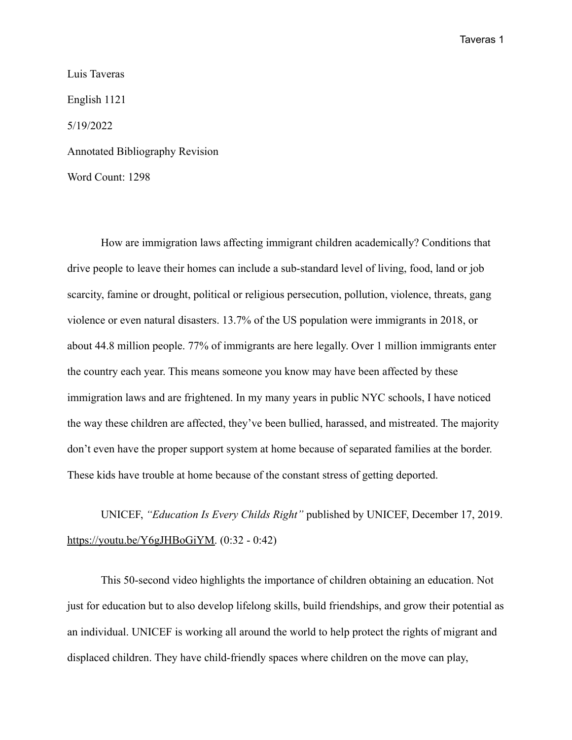Luis Taveras English 1121 5/19/2022 Annotated Bibliography Revision Word Count: 1298

How are immigration laws affecting immigrant children academically? Conditions that drive people to leave their homes can include a sub-standard level of living, food, land or job scarcity, famine or drought, political or religious persecution, pollution, violence, threats, gang violence or even natural disasters. 13.7% of the US population were immigrants in 2018, or about 44.8 million people. 77% of immigrants are here legally. Over 1 million immigrants enter the country each year. This means someone you know may have been affected by these immigration laws and are frightened. In my many years in public NYC schools, I have noticed the way these children are affected, they've been bullied, harassed, and mistreated. The majority don't even have the proper support system at home because of separated families at the border. These kids have trouble at home because of the constant stress of getting deported.

UNICEF, *"Education Is Every Childs Right"* published by UNICEF, December 17, 2019. [https://youtu.be/Y6gJHBoGiYM.](https://youtu.be/Y6gJHBoGiYM) (0:32 - 0:42)

This 50-second video highlights the importance of children obtaining an education. Not just for education but to also develop lifelong skills, build friendships, and grow their potential as an individual. UNICEF is working all around the world to help protect the rights of migrant and displaced children. They have child-friendly spaces where children on the move can play,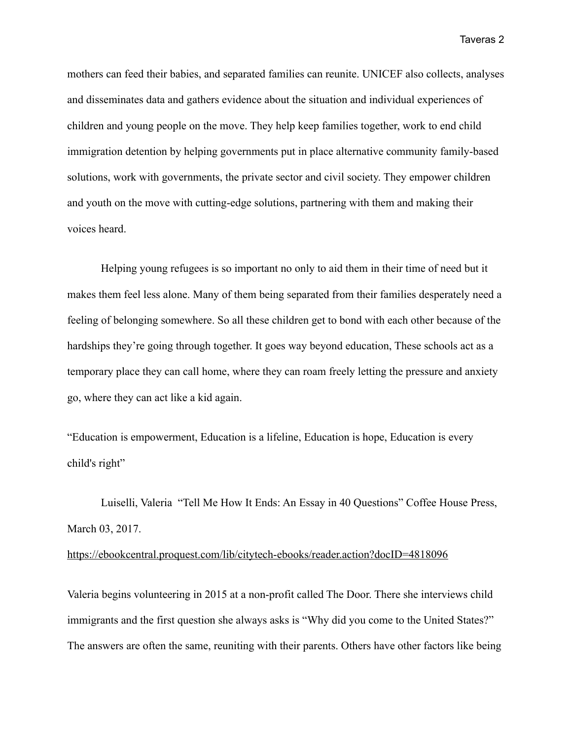mothers can feed their babies, and separated families can reunite. UNICEF also collects, analyses and disseminates data and gathers evidence about the situation and individual experiences of children and young people on the move. They help keep families together, work to end child immigration detention by helping governments put in place alternative community family-based solutions, work with governments, the private sector and civil society. They empower children and youth on the move with cutting-edge solutions, partnering with them and making their voices heard.

Helping young refugees is so important no only to aid them in their time of need but it makes them feel less alone. Many of them being separated from their families desperately need a feeling of belonging somewhere. So all these children get to bond with each other because of the hardships they're going through together. It goes way beyond education, These schools act as a temporary place they can call home, where they can roam freely letting the pressure and anxiety go, where they can act like a kid again.

"Education is empowerment, Education is a lifeline, Education is hope, Education is every child's right"

Luiselli, Valeria "Tell Me How It Ends: An Essay in 40 Questions" Coffee House Press, March 03, 2017.

## <https://ebookcentral.proquest.com/lib/citytech-ebooks/reader.action?docID=4818096>

Valeria begins volunteering in 2015 at a non-profit called The Door. There she interviews child immigrants and the first question she always asks is "Why did you come to the United States?" The answers are often the same, reuniting with their parents. Others have other factors like being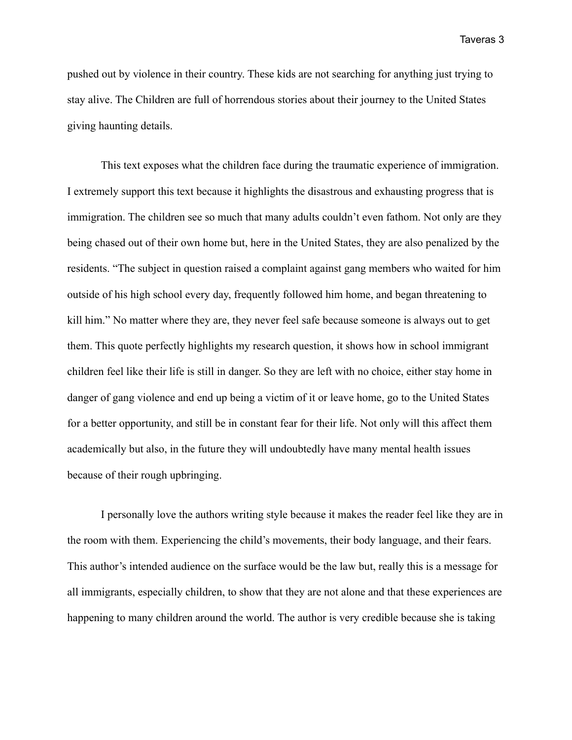pushed out by violence in their country. These kids are not searching for anything just trying to stay alive. The Children are full of horrendous stories about their journey to the United States giving haunting details.

This text exposes what the children face during the traumatic experience of immigration. I extremely support this text because it highlights the disastrous and exhausting progress that is immigration. The children see so much that many adults couldn't even fathom. Not only are they being chased out of their own home but, here in the United States, they are also penalized by the residents. "The subject in question raised a complaint against gang members who waited for him outside of his high school every day, frequently followed him home, and began threatening to kill him." No matter where they are, they never feel safe because someone is always out to get them. This quote perfectly highlights my research question, it shows how in school immigrant children feel like their life is still in danger. So they are left with no choice, either stay home in danger of gang violence and end up being a victim of it or leave home, go to the United States for a better opportunity, and still be in constant fear for their life. Not only will this affect them academically but also, in the future they will undoubtedly have many mental health issues because of their rough upbringing.

I personally love the authors writing style because it makes the reader feel like they are in the room with them. Experiencing the child's movements, their body language, and their fears. This author's intended audience on the surface would be the law but, really this is a message for all immigrants, especially children, to show that they are not alone and that these experiences are happening to many children around the world. The author is very credible because she is taking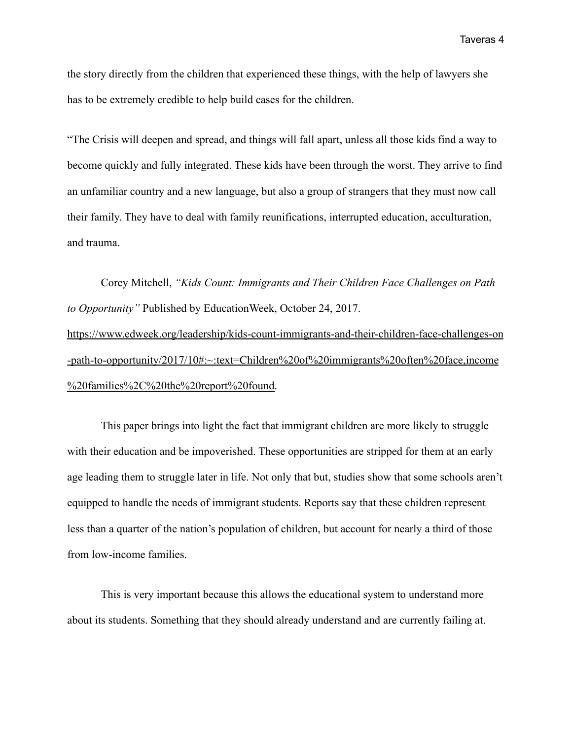the story directly from the children that experienced these things, with the help of lawyers she has to be extremely credible to help build cases for the children.

"The Crisis will deepen and spread, and things will fall apart, unless all those kids find a way to become quickly and fully integrated. These kids have been through the worst. They arrive to find an unfamiliar country and a new language, but also a group of strangers that they must now call their family. They have to deal with family reunifications, interrupted education, acculturation, and trauma.

Corey Mitchell, *"Kids Count: Immigrants and Their Children Face Challenges on Path to Opportunity"* Published by EducationWeek, October 24, 2017. [https://www.edweek.org/leadership/kids-count-immigrants-and-their-children-face-challenges-on](https://www.edweek.org/leadership/kids-count-immigrants-and-their-children-face-challenges-on-path-to-opportunity/2017/10#:~:text=Children%20of%20immigrants%20often%20face,income%20families%2C%20the%20report%20found) [-path-to-opportunity/2017/10#:~:text=Children%20of%20immigrants%20often%20face,income](https://www.edweek.org/leadership/kids-count-immigrants-and-their-children-face-challenges-on-path-to-opportunity/2017/10#:~:text=Children%20of%20immigrants%20often%20face,income%20families%2C%20the%20report%20found) [%20families%2C%20the%20report%20found.](https://www.edweek.org/leadership/kids-count-immigrants-and-their-children-face-challenges-on-path-to-opportunity/2017/10#:~:text=Children%20of%20immigrants%20often%20face,income%20families%2C%20the%20report%20found)

This paper brings into light the fact that immigrant children are more likely to struggle with their education and be impoverished. These opportunities are stripped for them at an early age leading them to struggle later in life. Not only that but, studies show that some schools aren't equipped to handle the needs of immigrant students. Reports say that these children represent less than a quarter of the nation's population of children, but account for nearly a third of those from low-income families.

This is very important because this allows the educational system to understand more about its students. Something that they should already understand and are currently failing at.